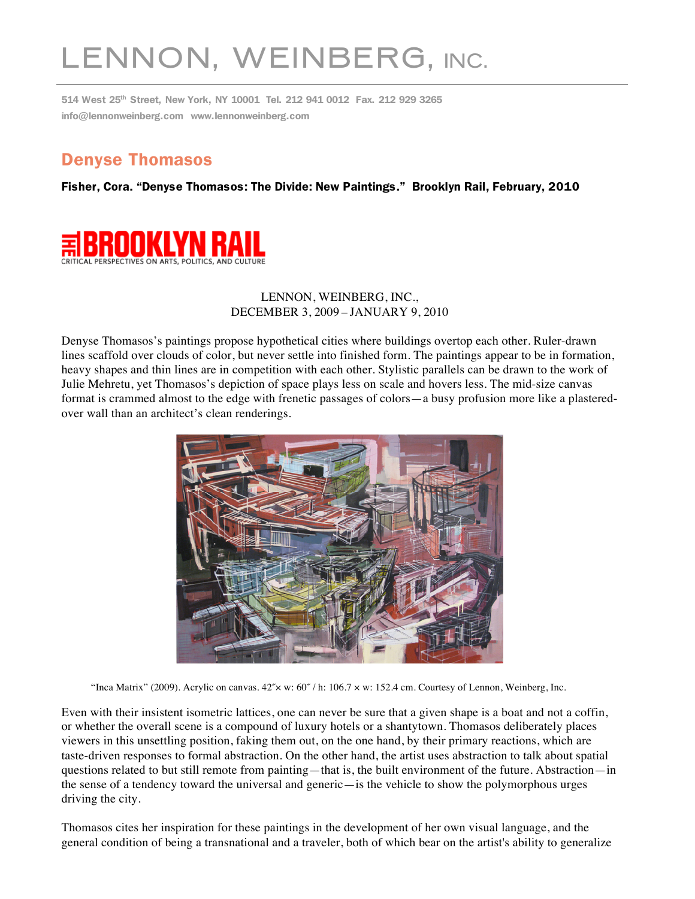## LENNON, WEINBERG, INC.

514 West 25th Street, New York, NY 10001 Tel. 212 941 0012 Fax. 212 929 3265 info@lennonweinberg.com www.lennonweinberg.com

## Denyse Thomasos

Fisher, Cora. "Denyse Thomasos: The Divide: New Paintings." Brooklyn Rail, February, 2010



## LENNON, WEINBERG, INC., DECEMBER 3, 2009 – JANUARY 9, 2010

Denyse Thomasos's paintings propose hypothetical cities where buildings overtop each other. Ruler-drawn lines scaffold over clouds of color, but never settle into finished form. The paintings appear to be in formation, heavy shapes and thin lines are in competition with each other. Stylistic parallels can be drawn to the work of Julie Mehretu, yet Thomasos's depiction of space plays less on scale and hovers less. The mid-size canvas format is crammed almost to the edge with frenetic passages of colors—a busy profusion more like a plasteredover wall than an architect's clean renderings.



"Inca Matrix" (2009). Acrylic on canvas.  $42 \times w$ :  $60\degree/$  h:  $106.7 \times w$ : 152.4 cm. Courtesy of Lennon, Weinberg, Inc.

Even with their insistent isometric lattices, one can never be sure that a given shape is a boat and not a coffin, or whether the overall scene is a compound of luxury hotels or a shantytown. Thomasos deliberately places viewers in this unsettling position, faking them out, on the one hand, by their primary reactions, which are taste-driven responses to formal abstraction. On the other hand, the artist uses abstraction to talk about spatial questions related to but still remote from painting—that is, the built environment of the future. Abstraction—in the sense of a tendency toward the universal and generic—is the vehicle to show the polymorphous urges driving the city.

Thomasos cites her inspiration for these paintings in the development of her own visual language, and the general condition of being a transnational and a traveler, both of which bear on the artist's ability to generalize